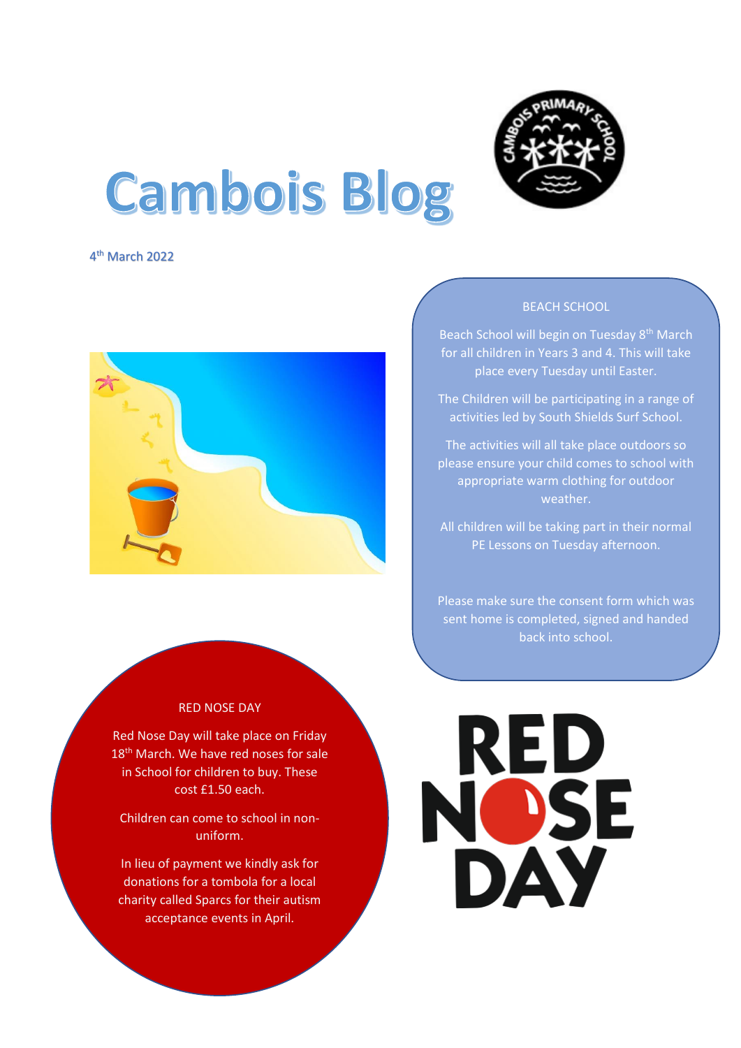

# **Cambois Blog**

4 th March 2022



#### RED NOSE DAY

Red Nose Day will take place on Friday 18<sup>th</sup> March. We have red noses for sale in School for children to buy. These cost £1.50 each.

Children can come to school in nonuniform.

In lieu of payment we kindly ask for donations for a tombola for a local charity called Sparcs for their autism acceptance events in April.

#### BEACH SCHOOL

Beach School will begin on Tuesday 8<sup>th</sup> March for all children in Years 3 and 4. This will take place every Tuesday until Easter.

The Children will be participating in a range of activities led by South Shields Surf School.

The activities will all take place outdoors so please ensure your child comes to school with appropriate warm clothing for outdoor weather.

All children will be taking part in their normal PE Lessons on Tuesday afternoon.

Please make sure the consent form which was sent home is completed, signed and handed back into school.

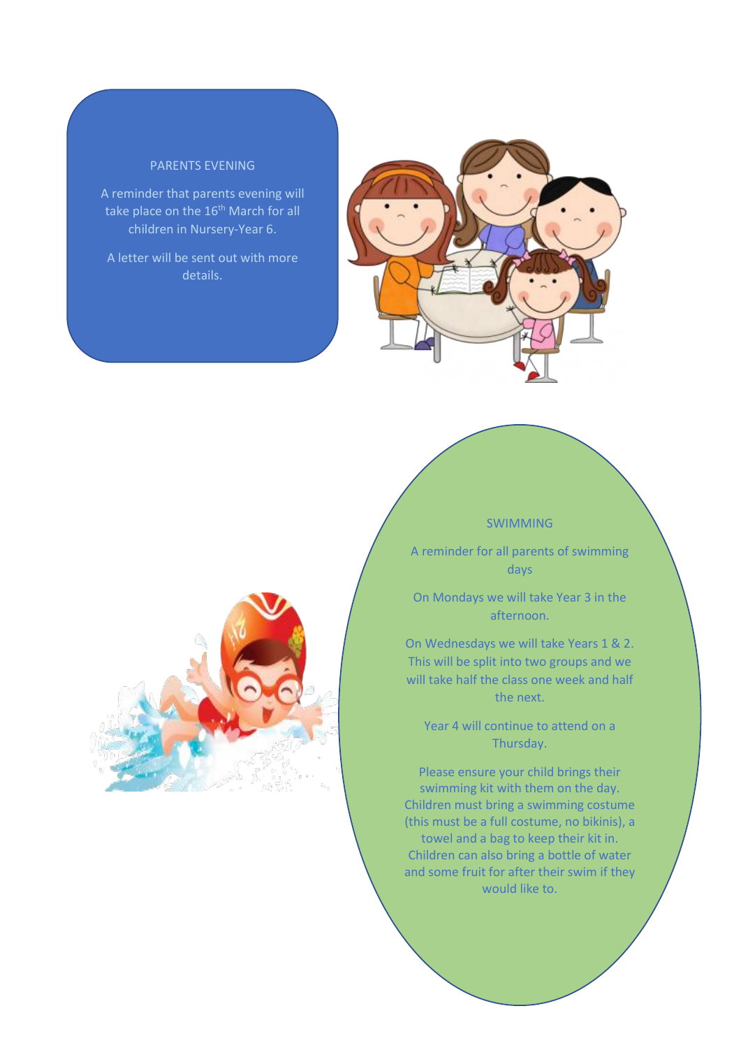### PARENTS EVENING

A reminder that parents evening will take place on the 16<sup>th</sup> March for all children in Nursery-Year 6.

A letter will be sent out with more details.





#### SWIMMING

A reminder for all parents of swimming days

On Mondays we will take Year 3 in the afternoon.

On Wednesdays we will take Years 1 & 2. This will be split into two groups and we will take half the class one week and half the next.

Year 4 will continue to attend on a Thursday.

Please ensure your child brings their swimming kit with them on the day. Children must bring a swimming costume (this must be a full costume, no bikinis), a towel and a bag to keep their kit in. Children can also bring a bottle of water and some fruit for after their swim if they would like to.